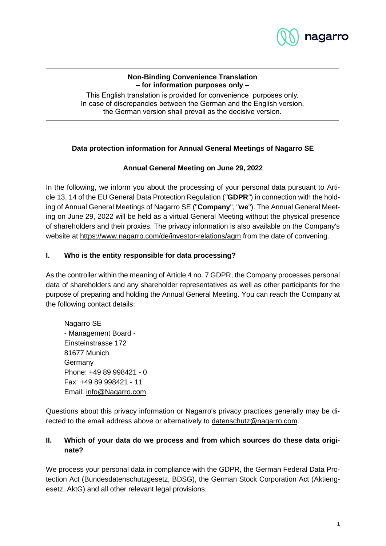

#### **Non-Binding Convenience Translation – for information purposes only –**

This English translation is provided for convenience purposes only. In case of discrepancies between the German and the English version, the German version shall prevail as the decisive version.

# **Data protection information for Annual General Meetings of Nagarro SE**

# **Annual General Meeting on June 29, 2022**

In the following, we inform you about the processing of your personal data pursuant to Article 13, 14 of the EU General Data Protection Regulation (*"***GDPR***"*) in connection with the holding of Annual General Meetings of Nagarro SE ("**Company**", "**we**"). The Annual General Meeting on June 29, 2022 will be held as a virtual General Meeting without the physical presence of shareholders and their proxies. The privacy information is also available on the Company's website at https://www.nagarro.com/de/investor-relations/agm from the date of convening.

### <span id="page-0-0"></span>**I. Who is the entity responsible for data processing?**

As the controller within the meaning of Article 4 no. 7 GDPR, the Company processes personal data of shareholders and any shareholder representatives as well as other participants for the purpose of preparing and holding the Annual General Meeting. You can reach the Company at the following contact details:

Nagarro SE - Management Board - Einsteinstrasse 172 81677 Munich Germany Phone: +49 89 998421 - 0 Fax: +49 89 998421 - 11 Email: info@Nagarro.com

Questions about this privacy information or Nagarro's privacy practices generally may be directed to the email address above or alternatively to datenschutz@nagarro.com.

# **II. Which of your data do we process and from which sources do these data originate?**

We process your personal data in compliance with the GDPR, the German Federal Data Protection Act (Bundesdatenschutzgesetz, BDSG), the German Stock Corporation Act (Aktiengesetz, AktG) and all other relevant legal provisions.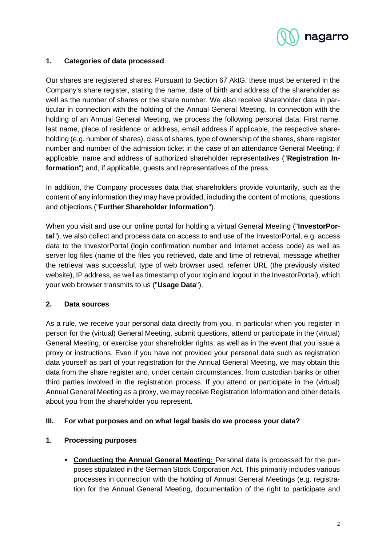

### **1. Categories of data processed**

Our shares are registered shares. Pursuant to Section 67 AktG, these must be entered in the Company's share register, stating the name, date of birth and address of the shareholder as well as the number of shares or the share number. We also receive shareholder data in particular in connection with the holding of the Annual General Meeting. In connection with the holding of an Annual General Meeting, we process the following personal data: First name, last name, place of residence or address, email address if applicable, the respective shareholding (e.g. number of shares), class of shares, type of ownership of the shares, share register number and number of the admission ticket in the case of an attendance General Meeting; if applicable, name and address of authorized shareholder representatives ("**Registration Information**") and, if applicable, guests and representatives of the press.

In addition, the Company processes data that shareholders provide voluntarily, such as the content of any information they may have provided, including the content of motions, questions and objections ("**Further Shareholder Information**").

When you visit and use our online portal for holding a virtual General Meeting ("**InvestorPortal**"), we also collect and process data on access to and use of the InvestorPortal, e.g. access data to the InvestorPortal (login confirmation number and Internet access code) as well as server log files (name of the files you retrieved, date and time of retrieval, message whether the retrieval was successful, type of web browser used, referrer URL (the previously visited website), IP address, as well as timestamp of your login and logout in the InvestorPortal), which your web browser transmits to us ("**Usage Data**").

#### **2. Data sources**

As a rule, we receive your personal data directly from you, in particular when you register in person for the (virtual) General Meeting, submit questions, attend or participate in the (virtual) General Meeting, or exercise your shareholder rights, as well as in the event that you issue a proxy or instructions. Even if you have not provided your personal data such as registration data yourself as part of your registration for the Annual General Meeting, we may obtain this data from the share register and, under certain circumstances, from custodian banks or other third parties involved in the registration process. If you attend or participate in the (virtual) Annual General Meeting as a proxy, we may receive Registration Information and other details about you from the shareholder you represent.

#### **III. For what purposes and on what legal basis do we process your data?**

# **1. Processing purposes**

▪ **Conducting the Annual General Meeting:** Personal data is processed for the purposes stipulated in the German Stock Corporation Act. This primarily includes various processes in connection with the holding of Annual General Meetings (e.g. registration for the Annual General Meeting, documentation of the right to participate and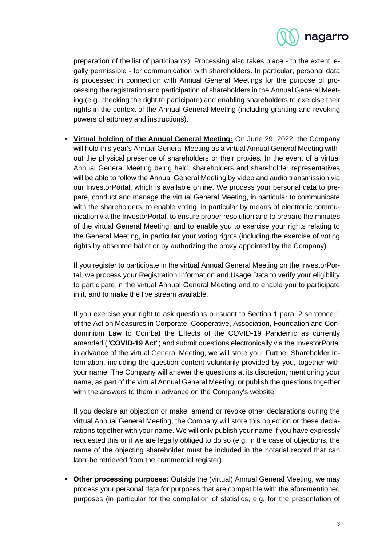

preparation of the list of participants). Processing also takes place - to the extent legally permissible - for communication with shareholders. In particular, personal data is processed in connection with Annual General Meetings for the purpose of processing the registration and participation of shareholders in the Annual General Meeting (e.g. checking the right to participate) and enabling shareholders to exercise their rights in the context of the Annual General Meeting (including granting and revoking powers of attorney and instructions).

▪ **Virtual holding of the Annual General Meeting:** On June 29, 2022, the Company will hold this year's Annual General Meeting as a virtual Annual General Meeting without the physical presence of shareholders or their proxies. In the event of a virtual Annual General Meeting being held, shareholders and shareholder representatives will be able to follow the Annual General Meeting by video and audio transmission via our InvestorPortal, which is available online. We process your personal data to prepare, conduct and manage the virtual General Meeting, in particular to communicate with the shareholders, to enable voting, in particular by means of electronic communication via the InvestorPortal, to ensure proper resolution and to prepare the minutes of the virtual General Meeting, and to enable you to exercise your rights relating to the General Meeting, in particular your voting rights (including the exercise of voting rights by absentee ballot or by authorizing the proxy appointed by the Company).

If you register to participate in the virtual Annual General Meeting on the InvestorPortal, we process your Registration Information and Usage Data to verify your eligibility to participate in the virtual Annual General Meeting and to enable you to participate in it, and to make the live stream available.

If you exercise your right to ask questions pursuant to Section 1 para. 2 sentence 1 of the Act on Measures in Corporate, Cooperative, Association, Foundation and Condominium Law to Combat the Effects of the COVID-19 Pandemic as currently amended ("**COVID-19 Act**") and submit questions electronically via the InvestorPortal in advance of the virtual General Meeting, we will store your Further Shareholder Information, including the question content voluntarily provided by you, together with your name. The Company will answer the questions at its discretion, mentioning your name, as part of the virtual Annual General Meeting, or publish the questions together with the answers to them in advance on the Company's website.

If you declare an objection or make, amend or revoke other declarations during the virtual Annual General Meeting, the Company will store this objection or these declarations together with your name. We will only publish your name if you have expressly requested this or if we are legally obliged to do so (e.g. in the case of objections, the name of the objecting shareholder must be included in the notarial record that can later be retrieved from the commercial register).

**• Other processing purposes:** Outside the (virtual) Annual General Meeting, we may process your personal data for purposes that are compatible with the aforementioned purposes (in particular for the compilation of statistics, e.g. for the presentation of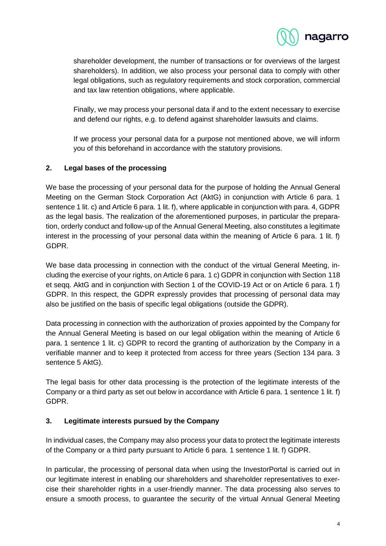

shareholder development, the number of transactions or for overviews of the largest shareholders). In addition, we also process your personal data to comply with other legal obligations, such as regulatory requirements and stock corporation, commercial and tax law retention obligations, where applicable.

Finally, we may process your personal data if and to the extent necessary to exercise and defend our rights, e.g. to defend against shareholder lawsuits and claims.

If we process your personal data for a purpose not mentioned above, we will inform you of this beforehand in accordance with the statutory provisions.

### **2. Legal bases of the processing**

We base the processing of your personal data for the purpose of holding the Annual General Meeting on the German Stock Corporation Act (AktG) in conjunction with Article 6 para. 1 sentence 1 lit. c) and Article 6 para. 1 lit. f), where applicable in conjunction with para. 4, GDPR as the legal basis. The realization of the aforementioned purposes, in particular the preparation, orderly conduct and follow-up of the Annual General Meeting, also constitutes a legitimate interest in the processing of your personal data within the meaning of Article 6 para. 1 lit. f) GDPR.

We base data processing in connection with the conduct of the virtual General Meeting, including the exercise of your rights, on Article 6 para. 1 c) GDPR in conjunction with Section 118 et seqq. AktG and in conjunction with Section 1 of the COVID-19 Act or on Article 6 para. 1 f) GDPR. In this respect, the GDPR expressly provides that processing of personal data may also be justified on the basis of specific legal obligations (outside the GDPR).

Data processing in connection with the authorization of proxies appointed by the Company for the Annual General Meeting is based on our legal obligation within the meaning of Article 6 para. 1 sentence 1 lit. c) GDPR to record the granting of authorization by the Company in a verifiable manner and to keep it protected from access for three years (Section 134 para. 3 sentence 5 AktG).

The legal basis for other data processing is the protection of the legitimate interests of the Company or a third party as set out below in accordance with Article 6 para. 1 sentence 1 lit. f) GDPR.

# **3. Legitimate interests pursued by the Company**

In individual cases, the Company may also process your data to protect the legitimate interests of the Company or a third party pursuant to Article 6 para. 1 sentence 1 lit. f) GDPR.

In particular, the processing of personal data when using the InvestorPortal is carried out in our legitimate interest in enabling our shareholders and shareholder representatives to exercise their shareholder rights in a user-friendly manner. The data processing also serves to ensure a smooth process, to guarantee the security of the virtual Annual General Meeting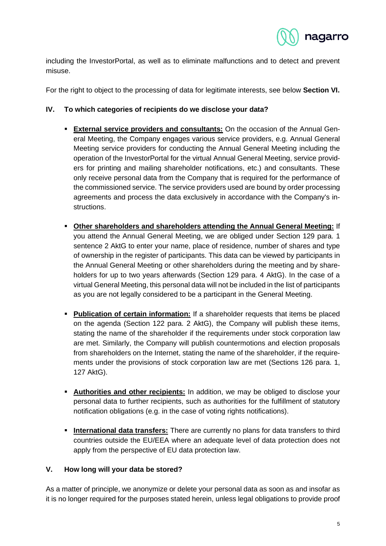

including the InvestorPortal, as well as to eliminate malfunctions and to detect and prevent misuse.

For the right to object to the processing of data for legitimate interests, see below **Section [VI.](#page-5-0)**

### **IV. To which categories of recipients do we disclose your data?**

- **External service providers and consultants:** On the occasion of the Annual General Meeting, the Company engages various service providers, e.g. Annual General Meeting service providers for conducting the Annual General Meeting including the operation of the InvestorPortal for the virtual Annual General Meeting, service providers for printing and mailing shareholder notifications, etc.) and consultants. These only receive personal data from the Company that is required for the performance of the commissioned service. The service providers used are bound by order processing agreements and process the data exclusively in accordance with the Company's instructions.
- **Other shareholders and shareholders attending the Annual General Meeting:** If you attend the Annual General Meeting, we are obliged under Section 129 para. 1 sentence 2 AktG to enter your name, place of residence, number of shares and type of ownership in the register of participants. This data can be viewed by participants in the Annual General Meeting or other shareholders during the meeting and by shareholders for up to two years afterwards (Section 129 para. 4 AktG). In the case of a virtual General Meeting, this personal data will not be included in the list of participants as you are not legally considered to be a participant in the General Meeting.
- **Publication of certain information:** If a shareholder requests that items be placed on the agenda (Section 122 para. 2 AktG), the Company will publish these items, stating the name of the shareholder if the requirements under stock corporation law are met. Similarly, the Company will publish countermotions and election proposals from shareholders on the Internet, stating the name of the shareholder, if the requirements under the provisions of stock corporation law are met (Sections 126 para. 1, 127 AktG).
- **EXTED Authorities and other recipients:** In addition, we may be obliged to disclose your personal data to further recipients, such as authorities for the fulfillment of statutory notification obligations (e.g. in the case of voting rights notifications).
- **International data transfers:** There are currently no plans for data transfers to third countries outside the EU/EEA where an adequate level of data protection does not apply from the perspective of EU data protection law.

#### **V. How long will your data be stored?**

As a matter of principle, we anonymize or delete your personal data as soon as and insofar as it is no longer required for the purposes stated herein, unless legal obligations to provide proof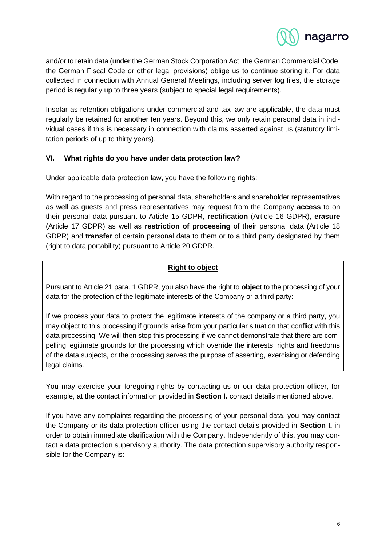

and/or to retain data (under the German Stock Corporation Act, the German Commercial Code, the German Fiscal Code or other legal provisions) oblige us to continue storing it. For data collected in connection with Annual General Meetings, including server log files, the storage period is regularly up to three years (subject to special legal requirements).

Insofar as retention obligations under commercial and tax law are applicable, the data must regularly be retained for another ten years. Beyond this, we only retain personal data in individual cases if this is necessary in connection with claims asserted against us (statutory limitation periods of up to thirty years).

### <span id="page-5-0"></span>**VI. What rights do you have under data protection law?**

Under applicable data protection law, you have the following rights:

With regard to the processing of personal data, shareholders and shareholder representatives as well as guests and press representatives may request from the Company **access** to on their personal data pursuant to Article 15 GDPR, **rectification** (Article 16 GDPR), **erasure** (Article 17 GDPR) as well as **restriction of processing** of their personal data (Article 18 GDPR) and **transfer** of certain personal data to them or to a third party designated by them (right to data portability) pursuant to Article 20 GDPR.

# **Right to object**

Pursuant to Article 21 para. 1 GDPR, you also have the right to **object** to the processing of your data for the protection of the legitimate interests of the Company or a third party:

If we process your data to protect the legitimate interests of the company or a third party, you may object to this processing if grounds arise from your particular situation that conflict with this data processing. We will then stop this processing if we cannot demonstrate that there are compelling legitimate grounds for the processing which override the interests, rights and freedoms of the data subjects, or the processing serves the purpose of asserting, exercising or defending legal claims.

You may exercise your foregoing rights by contacting us or our data protection officer, for example, at the contact information provided in **Section [I.](#page-0-0)** contact details mentioned above.

If you have any complaints regarding the processing of your personal data, you may contact the Company or its data protection officer using the contact details provided in **Section [I.](#page-0-0)** in order to obtain immediate clarification with the Company. Independently of this, you may contact a data protection supervisory authority. The data protection supervisory authority responsible for the Company is: